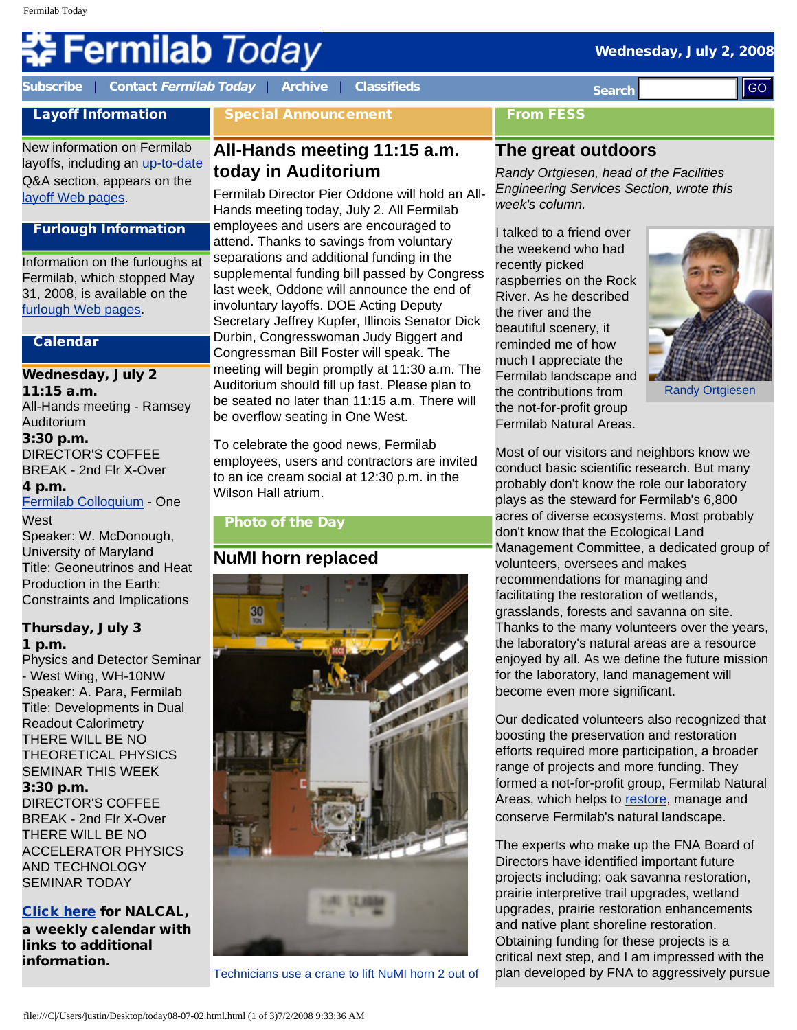# **Fermilab Today**

**[Subscribe](http://www.fnal.gov/pub/today/subscription.html)** | **Contact [Fermilab Today](mailto:today@fnal.gov)** | **[Archive](http://www.fnal.gov/pub/today/archive.html)** | **[Classifieds](http://www.fnal.gov/pub/today/classifieds.html) Search** 

Special Announcement

### From FESS

# **The great outdoors**

*Randy Ortgiesen, head of the Facilities Engineering Services Section, wrote this week's column.*

I talked to a friend over the weekend who had recently picked raspberries on the Rock River. As he described the river and the beautiful scenery, it reminded me of how much I appreciate the Fermilab landscape and the contributions from the not-for-profit group Fermilab Natural Areas.

Randy Ortgiesen

Most of our visitors and neighbors know we conduct basic scientific research. But many probably don't know the role our laboratory plays as the steward for Fermilab's 6,800 acres of diverse ecosystems. Most probably don't know that the Ecological Land Management Committee, a dedicated group of volunteers, oversees and makes recommendations for managing and facilitating the restoration of wetlands, grasslands, forests and savanna on site. Thanks to the many volunteers over the years, the laboratory's natural areas are a resource enjoyed by all. As we define the future mission for the laboratory, land management will become even more significant.

Our dedicated volunteers also recognized that boosting the preservation and restoration efforts required more participation, a broader range of projects and more funding. They formed a not-for-profit group, Fermilab Natural Areas, which helps to [restore](http://www.fnal.gov/pub/today/archive_2007/today07-09-05.html), manage and conserve Fermilab's natural landscape.

The experts who make up the FNA Board of Directors have identified important future projects including: oak savanna restoration, prairie interpretive trail upgrades, wetland upgrades, prairie restoration enhancements and native plant shoreline restoration. Obtaining funding for these projects is a critical next step, and I am impressed with the plan developed by FNA to aggressively pursue

# Layoff Information New information on Fermilab

layoffs, including an [up-to-date](http://www.fnal.gov/faw/layoffs/q_and_a.html) Q&A section, appears on the [layoff Web pages.](http://www.fnal.gov/faw/layoffs/)

## Furlough Information

Information on the furloughs at Fermilab, which stopped May 31, 2008, is available on the [furlough Web pages](http://www.fnal.gov/faw/furlough/index.html).

#### Calendar

## Wednesday, July 2

11:15 a.m. All-Hands meeting - Ramsey Auditorium 3:30 p.m. DIRECTOR'S COFFEE BREAK - 2nd Flr X-Over 4 p.m.

#### [Fermilab Colloquium](http://www-ppd.fnal.gov/EPPOffice-w/colloq/colloq.html) - One **West**

Speaker: W. McDonough, University of Maryland Title: Geoneutrinos and Heat Production in the Earth: Constraints and Implications

#### Thursday, July 3 1 p.m.

Physics and Detector Seminar - West Wing, WH-10NW Speaker: A. Para, Fermilab Title: Developments in Dual Readout Calorimetry THERE WILL BE NO THEORETICAL PHYSICS SEMINAR THIS WEEK 3:30 p.m. DIRECTOR'S COFFEE

BREAK - 2nd Flr X-Over THERE WILL BE NO ACCELERATOR PHYSICS AND TECHNOLOGY SEMINAR TODAY

[Click here](http://www.fnal.gov/directorate/nalcal/nalcal06_30_08.html) for NALCAL, a weekly calendar with links to additional information.

# **All-Hands meeting 11:15 a.m. today in Auditorium**

Fermilab Director Pier Oddone will hold an All-Hands meeting today, July 2. All Fermilab employees and users are encouraged to attend. Thanks to savings from voluntary separations and additional funding in the supplemental funding bill passed by Congress last week, Oddone will announce the end of involuntary layoffs. DOE Acting Deputy Secretary Jeffrey Kupfer, Illinois Senator Dick Durbin, Congresswoman Judy Biggert and Congressman Bill Foster will speak. The meeting will begin promptly at 11:30 a.m. The Auditorium should fill up fast. Please plan to be seated no later than 11:15 a.m. There will be overflow seating in One West.

To celebrate the good news, Fermilab employees, users and contractors are invited to an ice cream social at 12:30 p.m. in the Wilson Hall atrium.

## Photo of the Day

# **NuMI horn replaced**



Technicians use a crane to lift NuMI horn 2 out of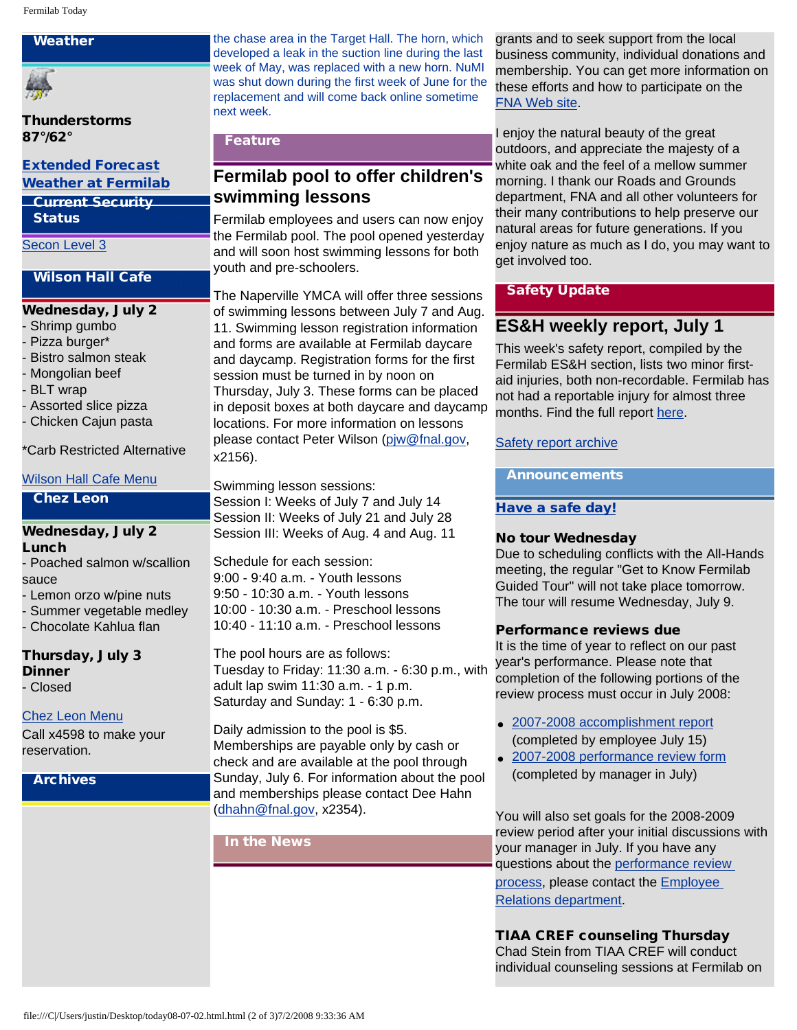#### Weather



Thunderstorms 87°/62°

[Extended Forecast](http://forecast.weather.gov/MapClick.php?CityName=Batavia&state=IL&site=LOT)

#### [Weather at Fermilab](http://www-esh.fnal.gov/pls/default/weather.html) Current Security

Status

[Secon Level 3](http://www.fnal.gov/pub/about/public_affairs/currentstatus.html)

#### Wilson Hall Cafe

#### Wednesday, July 2

- Shrimp gumbo
- Pizza burger\*
- Bistro salmon steak
- Mongolian beef
- BLT wrap
- Assorted slice pizza
- Chicken Cajun pasta

\*Carb Restricted Alternative

#### [Wilson Hall Cafe Menu](http://bss.fnal.gov/cafe/index.html)

#### Chez Leon

#### Wednesday, July 2 Lunch

- Poached salmon w/scallion sauce

- Lemon orzo w/pine nuts
- Summer vegetable medley
- Chocolate Kahlua flan

Thursday, July 3 **Dinner** - Closed

#### [Chez Leon Menu](http://bss.fnal.gov/chezleon/index.html)

Call x4598 to make your reservation.

**Archives** 

the chase area in the Target Hall. The horn, which developed a leak in the suction line during the last week of May, was replaced with a new horn. NuMI was shut down during the first week of June for the replacement and will come back online sometime next week.

## Feature

# **Fermilab pool to offer children's swimming lessons**

Fermilab employees and users can now enjoy the Fermilab pool. The pool opened yesterday and will soon host swimming lessons for both youth and pre-schoolers.

The Naperville YMCA will offer three sessions of swimming lessons between July 7 and Aug. 11. Swimming lesson registration information and forms are available at Fermilab daycare and daycamp. Registration forms for the first session must be turned in by noon on Thursday, July 3. These forms can be placed in deposit boxes at both daycare and daycamp locations. For more information on lessons please contact Peter Wilson ([pjw@fnal.gov](mailto:pjw@fnal.gov), x2156).

Swimming lesson sessions:

Session I: Weeks of July 7 and July 14 Session II: Weeks of July 21 and July 28 Session III: Weeks of Aug. 4 and Aug. 11

Schedule for each session: 9:00 - 9:40 a.m. - Youth lessons 9:50 - 10:30 a.m. - Youth lessons 10:00 - 10:30 a.m. - Preschool lessons 10:40 - 11:10 a.m. - Preschool lessons

The pool hours are as follows: Tuesday to Friday: 11:30 a.m. - 6:30 p.m., with adult lap swim 11:30 a.m. - 1 p.m. Saturday and Sunday: 1 - 6:30 p.m.

Daily admission to the pool is \$5. Memberships are payable only by cash or check and are available at the pool through Sunday, July 6. For information about the pool and memberships please contact Dee Hahn [\(dhahn@fnal.gov,](mailto:dhahn@fnal.gov) x2354).

In the News

grants and to seek support from the local business community, individual donations and membership. You can get more information on these efforts and how to participate on the [FNA Web site.](http://www.fermilabnaturalareas.org/)

I enjoy the natural beauty of the great outdoors, and appreciate the majesty of a white oak and the feel of a mellow summer morning. I thank our Roads and Grounds department, FNA and all other volunteers for their many contributions to help preserve our natural areas for future generations. If you enjoy nature as much as I do, you may want to get involved too.

#### **Safety Update**

## **ES&H weekly report, July 1**

This week's safety report, compiled by the Fermilab ES&H section, lists two minor firstaid injuries, both non-recordable. Fermilab has not had a reportable injury for almost three months. Find the full report [here](http://www.fnal.gov/pub/today/safetyreport_2008/Safetyreport070108.pdf).

#### [Safety report archive](http://www.fnal.gov/pub/today/Safetyreport_2008archive.html)

Announcements

## [Have a safe day!](http://www.fnal.gov/pub/about/safety/profiles.html)

#### No tour Wednesday

Due to scheduling conflicts with the All-Hands meeting, the regular "Get to Know Fermilab Guided Tour" will not take place tomorrow. The tour will resume Wednesday, July 9.

#### Performance reviews due

It is the time of year to reflect on our past year's performance. Please note that completion of the following portions of the review process must occur in July 2008:

- [2007-2008 accomplishment report](http://wdrs.fnal.gov/elr/employee_ar_04.doc) (completed by employee July 15)
- [2007-2008 performance review form](http://wdrs.fnal.gov/elr/perfrev_07.doc) (completed by manager in July)

You will also set goals for the 2008-2009 review period after your initial discussions with your manager in July. If you have any questions about the [performance review](http://wdrs.fnal.gov/elr/perform_rev.html) [process,](http://wdrs.fnal.gov/elr/perform_rev.html) please contact the [Employee](http://wdrs.fnal.gov/elr/org_chart.html) [Relations department.](http://wdrs.fnal.gov/elr/org_chart.html)

TIAA CREF counseling Thursday Chad Stein from TIAA CREF will conduct individual counseling sessions at Fermilab on